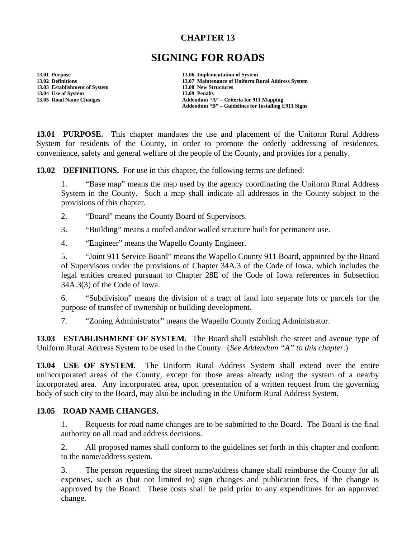## **CHAPTER 13**

# **SIGNING FOR ROADS**

**13.01 Purpose 13.06 Implementation of System 13.03 Establishment of System 13.08 New Structures 13.04 Use of System 13.09 Penalty<br>
13.05 Road Name Changes** 2008 2009 Addendum "A

**13.02 Definitions 13.07 Maintenance of Uniform Rural Address System 13.05 Road Name Changes Addendum "A" – Criteria for 911 Mapping Addendum "B" – Guidelines for Installing E911 Signs** 

**13.01 PURPOSE.** This chapter mandates the use and placement of the Uniform Rural Address System for residents of the County, in order to promote the orderly addressing of residences, convenience, safety and general welfare of the people of the County, and provides for a penalty.

**13.02 DEFINITIONS.** For use in this chapter, the following terms are defined:

1. "Base map" means the map used by the agency coordinating the Uniform Rural Address System in the County. Such a map shall indicate all addresses in the County subject to the provisions of this chapter.

2. "Board" means the County Board of Supervisors.

3. "Building" means a roofed and/or walled structure built for permanent use.

4. "Engineer" means the Wapello County Engineer.

5. "Joint 911 Service Board" means the Wapello County 911 Board, appointed by the Board of Supervisors under the provisions of Chapter 34A.3 of the Code of Iowa, which includes the legal entities created pursuant to Chapter 28E of the Code of Iowa references in Subsection 34A.3(3) of the Code of Iowa.

6. "Subdivision" means the division of a tract of land into separate lots or parcels for the purpose of transfer of ownership or building development.

7. "Zoning Administrator" means the Wapello County Zoning Administrator.

**13.03 ESTABLISHMENT OF SYSTEM.** The Board shall establish the street and avenue type of Uniform Rural Address System to be used in the County. (*See Addendum "A" to this chapter.*)

**13.04 USE OF SYSTEM.** The Uniform Rural Address System shall extend over the entire unincorporated areas of the County, except for those areas already using the system of a nearby incorporated area. Any incorporated area, upon presentation of a written request from the governing body of such city to the Board, may also be including in the Uniform Rural Address System.

#### **13.05 ROAD NAME CHANGES.**

1. Requests for road name changes are to be submitted to the Board. The Board is the final authority on all road and address decisions.

2. All proposed names shall conform to the guidelines set forth in this chapter and conform to the name/address system.

3. The person requesting the street name/address change shall reimburse the County for all expenses, such as (but not limited to) sign changes and publication fees, if the change is approved by the Board. These costs shall be paid prior to any expenditures for an approved change.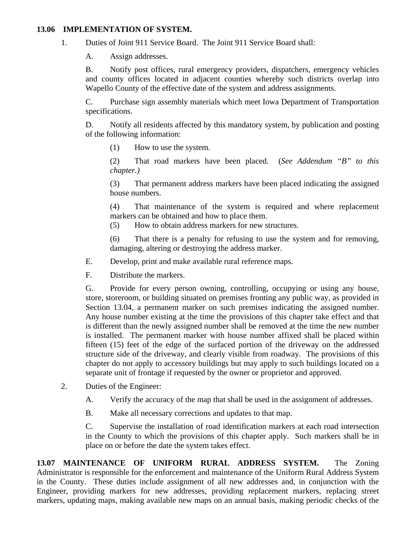#### **13.06 IMPLEMENTATION OF SYSTEM.**

1. Duties of Joint 911 Service Board. The Joint 911 Service Board shall:

A. Assign addresses.

B. Notify post offices, rural emergency providers, dispatchers, emergency vehicles and county offices located in adjacent counties whereby such districts overlap into Wapello County of the effective date of the system and address assignments.

C. Purchase sign assembly materials which meet Iowa Department of Transportation specifications.

D. Notify all residents affected by this mandatory system, by publication and posting of the following information:

(1) How to use the system.

(2) That road markers have been placed. (*See Addendum "B" to this chapter.)* 

(3) That permanent address markers have been placed indicating the assigned house numbers.

(4) That maintenance of the system is required and where replacement markers can be obtained and how to place them.

(5) How to obtain address markers for new structures.

(6) That there is a penalty for refusing to use the system and for removing, damaging, altering or destroying the address marker.

E. Develop, print and make available rural reference maps.

F. Distribute the markers.

G. Provide for every person owning, controlling, occupying or using any house, store, storeroom, or building situated on premises fronting any public way, as provided in Section 13.04, a permanent marker on such premises indicating the assigned number. Any house number existing at the time the provisions of this chapter take effect and that is different than the newly assigned number shall be removed at the time the new number is installed. The permanent marker with house number affixed shall be placed within fifteen (15) feet of the edge of the surfaced portion of the driveway on the addressed structure side of the driveway, and clearly visible from roadway. The provisions of this chapter do not apply to accessory buildings but may apply to such buildings located on a separate unit of frontage if requested by the owner or proprietor and approved.

- 2. Duties of the Engineer:
	- A. Verify the accuracy of the map that shall be used in the assignment of addresses.

B. Make all necessary corrections and updates to that map.

C. Supervise the installation of road identification markers at each road intersection in the County to which the provisions of this chapter apply. Such markers shall be in place on or before the date the system takes effect.

**13.07 MAINTENANCE OF UNIFORM RURAL ADDRESS SYSTEM.** The Zoning Administrator is responsible for the enforcement and maintenance of the Uniform Rural Address System in the County. These duties include assignment of all new addresses and, in conjunction with the Engineer, providing markers for new addresses, providing replacement markers, replacing street markers, updating maps, making available new maps on an annual basis, making periodic checks of the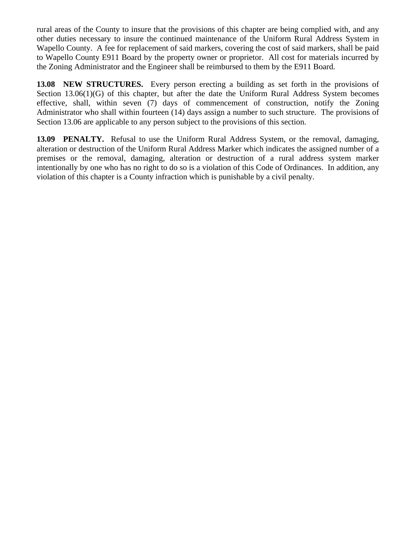rural areas of the County to insure that the provisions of this chapter are being complied with, and any other duties necessary to insure the continued maintenance of the Uniform Rural Address System in Wapello County. A fee for replacement of said markers, covering the cost of said markers, shall be paid to Wapello County E911 Board by the property owner or proprietor. All cost for materials incurred by the Zoning Administrator and the Engineer shall be reimbursed to them by the E911 Board.

**13.08 NEW STRUCTURES.** Every person erecting a building as set forth in the provisions of Section 13.06(1)(G) of this chapter, but after the date the Uniform Rural Address System becomes effective, shall, within seven (7) days of commencement of construction, notify the Zoning Administrator who shall within fourteen (14) days assign a number to such structure. The provisions of Section 13.06 are applicable to any person subject to the provisions of this section.

**13.09 PENALTY.** Refusal to use the Uniform Rural Address System, or the removal, damaging, alteration or destruction of the Uniform Rural Address Marker which indicates the assigned number of a premises or the removal, damaging, alteration or destruction of a rural address system marker intentionally by one who has no right to do so is a violation of this Code of Ordinances. In addition, any violation of this chapter is a County infraction which is punishable by a civil penalty.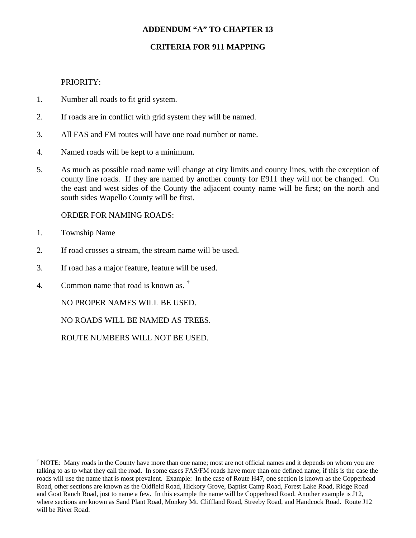## **ADDENDUM "A" TO CHAPTER 13**

## **CRITERIA FOR 911 MAPPING**

#### PRIORITY:

- 1. Number all roads to fit grid system.
- 2. If roads are in conflict with grid system they will be named.
- 3. All FAS and FM routes will have one road number or name.
- 4. Named roads will be kept to a minimum.
- 5. As much as possible road name will change at city limits and county lines, with the exception of county line roads. If they are named by another county for E911 they will not be changed. On the east and west sides of the County the adjacent county name will be first; on the north and south sides Wapello County will be first.

#### ORDER FOR NAMING ROADS:

1. Township Name

 $\overline{a}$ 

- 2. If road crosses a stream, the stream name will be used.
- 3. If road has a major feature, feature will be used.
- 4. Common name that road is known as. [†](#page-3-0)

NO PROPER NAMES WILL BE USED.

NO ROADS WILL BE NAMED AS TREES.

ROUTE NUMBERS WILL NOT BE USED.

<span id="page-3-0"></span><sup>&</sup>lt;sup>†</sup> NOTE: Many roads in the County have more than one name; most are not official names and it depends on whom you are talking to as to what they call the road. In some cases FAS/FM roads have more than one defined name; if this is the case the roads will use the name that is most prevalent. Example: In the case of Route H47, one section is known as the Copperhead Road, other sections are known as the Oldfield Road, Hickory Grove, Baptist Camp Road, Forest Lake Road, Ridge Road and Goat Ranch Road, just to name a few. In this example the name will be Copperhead Road. Another example is J12, where sections are known as Sand Plant Road, Monkey Mt. Cliffland Road, Streeby Road, and Handcock Road. Route J12 will be River Road.